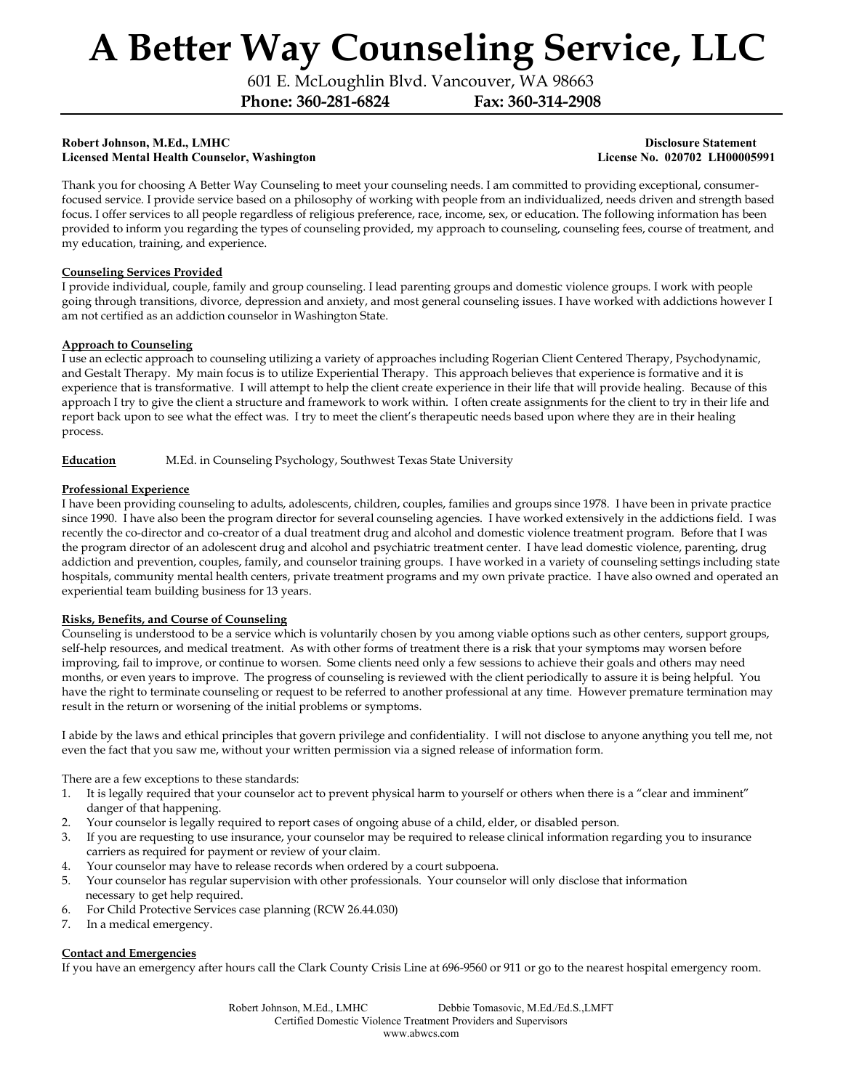601 E. McLoughlin Blvd. Vancouver, WA 98663

Phone: 360-281-6824 Fax: 360-314-2908

#### Robert Johnson, M.Ed., LMHC 2008 and 2008 and 2008 and 2008 and 2008 and 2008 and 2008 and 2008 and 2008 and 20 Licensed Mental Health Counselor, Washington License No. 020702 LH00005991

Thank you for choosing A Better Way Counseling to meet your counseling needs. I am committed to providing exceptional, consumerfocused service. I provide service based on a philosophy of working with people from an individualized, needs driven and strength based focus. I offer services to all people regardless of religious preference, race, income, sex, or education. The following information has been provided to inform you regarding the types of counseling provided, my approach to counseling, counseling fees, course of treatment, and my education, training, and experience.

## Counseling Services Provided

I provide individual, couple, family and group counseling. I lead parenting groups and domestic violence groups. I work with people going through transitions, divorce, depression and anxiety, and most general counseling issues. I have worked with addictions however I am not certified as an addiction counselor in Washington State.

## Approach to Counseling

I use an eclectic approach to counseling utilizing a variety of approaches including Rogerian Client Centered Therapy, Psychodynamic, and Gestalt Therapy. My main focus is to utilize Experiential Therapy. This approach believes that experience is formative and it is experience that is transformative. I will attempt to help the client create experience in their life that will provide healing. Because of this approach I try to give the client a structure and framework to work within. I often create assignments for the client to try in their life and report back upon to see what the effect was. I try to meet the client's therapeutic needs based upon where they are in their healing process.

## Education M.Ed. in Counseling Psychology, Southwest Texas State University

## Professional Experience

I have been providing counseling to adults, adolescents, children, couples, families and groups since 1978. I have been in private practice since 1990. I have also been the program director for several counseling agencies. I have worked extensively in the addictions field. I was recently the co-director and co-creator of a dual treatment drug and alcohol and domestic violence treatment program. Before that I was the program director of an adolescent drug and alcohol and psychiatric treatment center. I have lead domestic violence, parenting, drug addiction and prevention, couples, family, and counselor training groups. I have worked in a variety of counseling settings including state hospitals, community mental health centers, private treatment programs and my own private practice. I have also owned and operated an experiential team building business for 13 years.

#### Risks, Benefits, and Course of Counseling

Counseling is understood to be a service which is voluntarily chosen by you among viable options such as other centers, support groups, self-help resources, and medical treatment. As with other forms of treatment there is a risk that your symptoms may worsen before improving, fail to improve, or continue to worsen. Some clients need only a few sessions to achieve their goals and others may need months, or even years to improve. The progress of counseling is reviewed with the client periodically to assure it is being helpful. You have the right to terminate counseling or request to be referred to another professional at any time. However premature termination may result in the return or worsening of the initial problems or symptoms.

I abide by the laws and ethical principles that govern privilege and confidentiality. I will not disclose to anyone anything you tell me, not even the fact that you saw me, without your written permission via a signed release of information form.

There are a few exceptions to these standards:

- 1. It is legally required that your counselor act to prevent physical harm to yourself or others when there is a "clear and imminent" danger of that happening.
- 2. Your counselor is legally required to report cases of ongoing abuse of a child, elder, or disabled person.
- 3. If you are requesting to use insurance, your counselor may be required to release clinical information regarding you to insurance carriers as required for payment or review of your claim.
- 4. Your counselor may have to release records when ordered by a court subpoena.
- 5. Your counselor has regular supervision with other professionals. Your counselor will only disclose that information necessary to get help required.
- 6. For Child Protective Services case planning (RCW 26.44.030)
- 7. In a medical emergency.

#### Contact and Emergencies

If you have an emergency after hours call the Clark County Crisis Line at 696-9560 or 911 or go to the nearest hospital emergency room.

Robert Johnson, M.Ed., LMHC Debbie Tomasovic, M.Ed./Ed.S.,LMFT Certified Domestic Violence Treatment Providers and Supervisors www.abwcs.com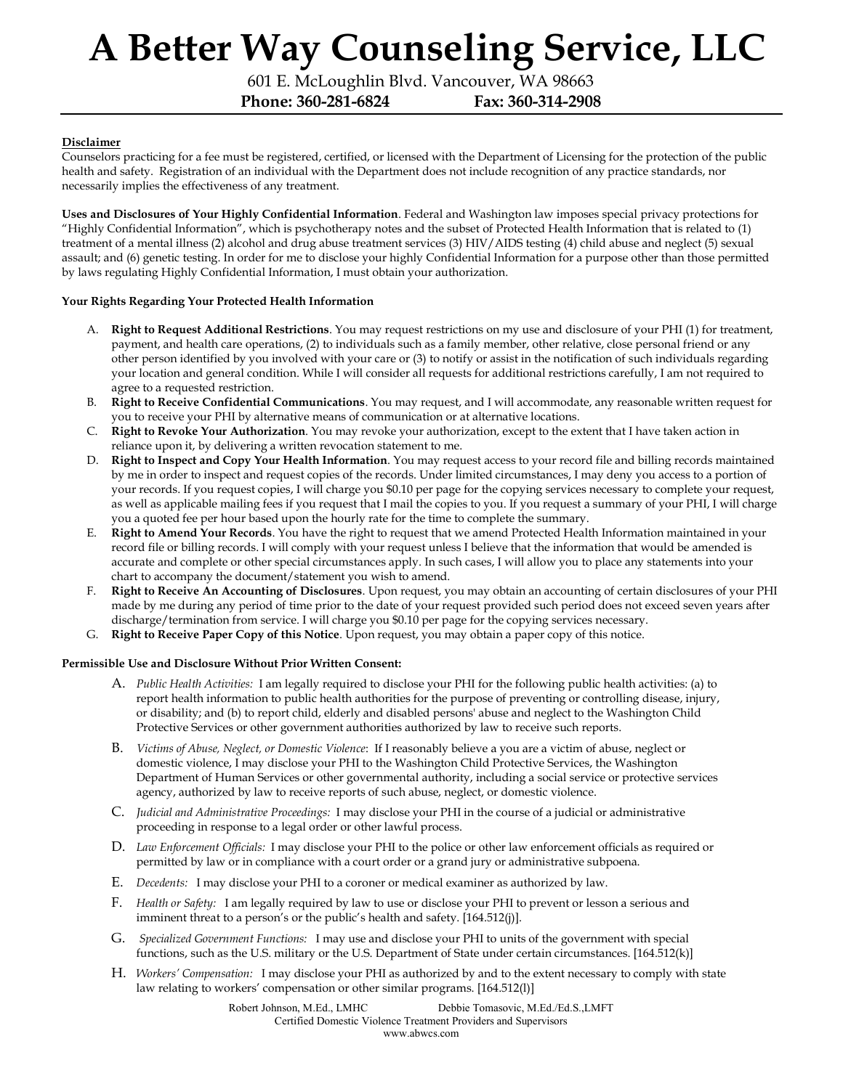601 E. McLoughlin Blvd. Vancouver, WA 98663

Phone: 360-281-6824 Fax: 360-314-2908

# **Disclaimer**

Counselors practicing for a fee must be registered, certified, or licensed with the Department of Licensing for the protection of the public health and safety. Registration of an individual with the Department does not include recognition of any practice standards, nor necessarily implies the effectiveness of any treatment.

Uses and Disclosures of Your Highly Confidential Information. Federal and Washington law imposes special privacy protections for "Highly Confidential Information", which is psychotherapy notes and the subset of Protected Health Information that is related to (1) treatment of a mental illness (2) alcohol and drug abuse treatment services (3) HIV/AIDS testing (4) child abuse and neglect (5) sexual assault; and (6) genetic testing. In order for me to disclose your highly Confidential Information for a purpose other than those permitted by laws regulating Highly Confidential Information, I must obtain your authorization.

#### Your Rights Regarding Your Protected Health Information

- A. Right to Request Additional Restrictions. You may request restrictions on my use and disclosure of your PHI (1) for treatment, payment, and health care operations, (2) to individuals such as a family member, other relative, close personal friend or any other person identified by you involved with your care or (3) to notify or assist in the notification of such individuals regarding your location and general condition. While I will consider all requests for additional restrictions carefully, I am not required to agree to a requested restriction.
- B. Right to Receive Confidential Communications. You may request, and I will accommodate, any reasonable written request for you to receive your PHI by alternative means of communication or at alternative locations.
- C. Right to Revoke Your Authorization. You may revoke your authorization, except to the extent that I have taken action in reliance upon it, by delivering a written revocation statement to me.
- D. Right to Inspect and Copy Your Health Information. You may request access to your record file and billing records maintained by me in order to inspect and request copies of the records. Under limited circumstances, I may deny you access to a portion of your records. If you request copies, I will charge you \$0.10 per page for the copying services necessary to complete your request, as well as applicable mailing fees if you request that I mail the copies to you. If you request a summary of your PHI, I will charge you a quoted fee per hour based upon the hourly rate for the time to complete the summary.
- E. Right to Amend Your Records. You have the right to request that we amend Protected Health Information maintained in your record file or billing records. I will comply with your request unless I believe that the information that would be amended is accurate and complete or other special circumstances apply. In such cases, I will allow you to place any statements into your chart to accompany the document/statement you wish to amend.
- F. Right to Receive An Accounting of Disclosures. Upon request, you may obtain an accounting of certain disclosures of your PHI made by me during any period of time prior to the date of your request provided such period does not exceed seven years after discharge/termination from service. I will charge you \$0.10 per page for the copying services necessary.
- G. Right to Receive Paper Copy of this Notice. Upon request, you may obtain a paper copy of this notice.

#### Permissible Use and Disclosure Without Prior Written Consent:

- A. Public Health Activities: I am legally required to disclose your PHI for the following public health activities: (a) to report health information to public health authorities for the purpose of preventing or controlling disease, injury, or disability; and (b) to report child, elderly and disabled persons' abuse and neglect to the Washington Child Protective Services or other government authorities authorized by law to receive such reports.
- B. Victims of Abuse, Neglect, or Domestic Violence: If I reasonably believe a you are a victim of abuse, neglect or domestic violence, I may disclose your PHI to the Washington Child Protective Services, the Washington Department of Human Services or other governmental authority, including a social service or protective services agency, authorized by law to receive reports of such abuse, neglect, or domestic violence.
- C. Judicial and Administrative Proceedings: I may disclose your PHI in the course of a judicial or administrative proceeding in response to a legal order or other lawful process.
- D. Law Enforcement Officials: I may disclose your PHI to the police or other law enforcement officials as required or permitted by law or in compliance with a court order or a grand jury or administrative subpoena.
- E. Decedents: I may disclose your PHI to a coroner or medical examiner as authorized by law.
- F. Health or Safety: I am legally required by law to use or disclose your PHI to prevent or lesson a serious and imminent threat to a person's or the public's health and safety. [164.512(j)].
- G. Specialized Government Functions: I may use and disclose your PHI to units of the government with special functions, such as the U.S. military or the U.S. Department of State under certain circumstances. [164.512(k)]
- H. Workers' Compensation: I may disclose your PHI as authorized by and to the extent necessary to comply with state law relating to workers' compensation or other similar programs. [164.512(l)]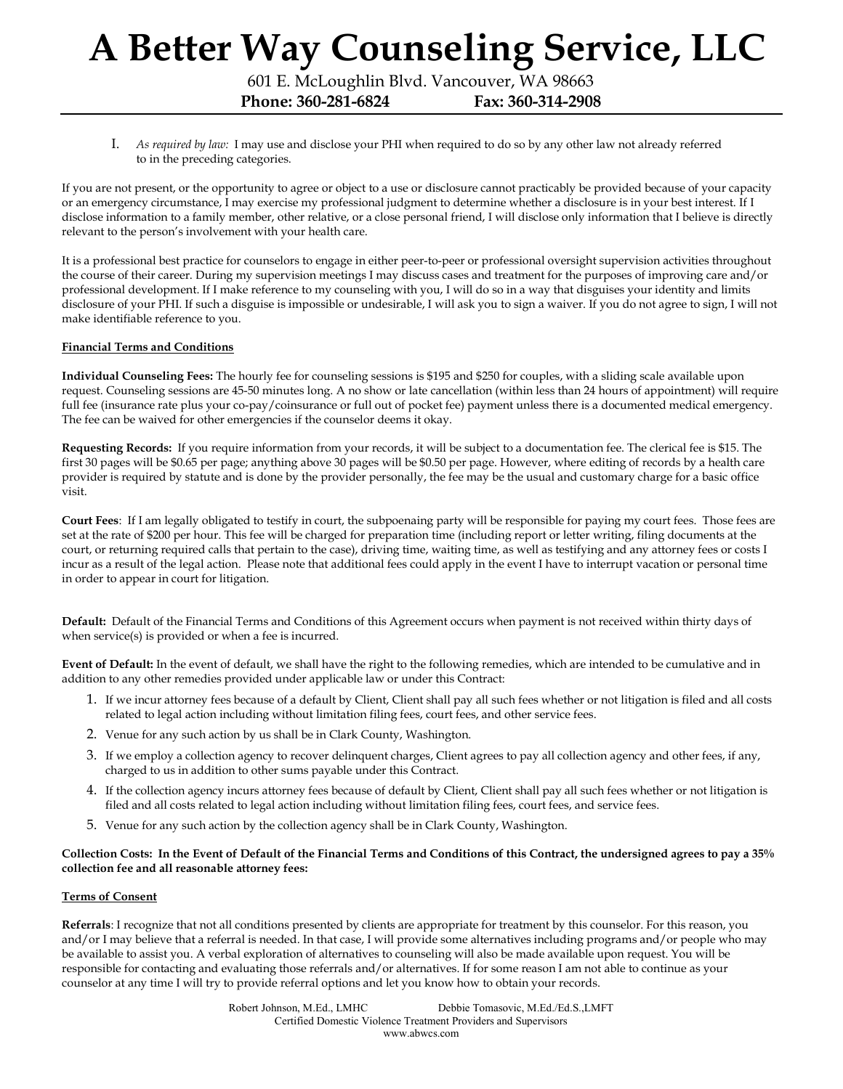601 E. McLoughlin Blvd. Vancouver, WA 98663

Phone: 360-281-6824 Fax: 360-314-2908

I. As required by law: I may use and disclose your PHI when required to do so by any other law not already referred to in the preceding categories.

If you are not present, or the opportunity to agree or object to a use or disclosure cannot practicably be provided because of your capacity or an emergency circumstance, I may exercise my professional judgment to determine whether a disclosure is in your best interest. If I disclose information to a family member, other relative, or a close personal friend, I will disclose only information that I believe is directly relevant to the person's involvement with your health care.

It is a professional best practice for counselors to engage in either peer-to-peer or professional oversight supervision activities throughout the course of their career. During my supervision meetings I may discuss cases and treatment for the purposes of improving care and/or professional development. If I make reference to my counseling with you, I will do so in a way that disguises your identity and limits disclosure of your PHI. If such a disguise is impossible or undesirable, I will ask you to sign a waiver. If you do not agree to sign, I will not make identifiable reference to you.

## Financial Terms and Conditions

Individual Counseling Fees: The hourly fee for counseling sessions is \$195 and \$250 for couples, with a sliding scale available upon request. Counseling sessions are 45-50 minutes long. A no show or late cancellation (within less than 24 hours of appointment) will require full fee (insurance rate plus your co-pay/coinsurance or full out of pocket fee) payment unless there is a documented medical emergency. The fee can be waived for other emergencies if the counselor deems it okay.

Requesting Records: If you require information from your records, it will be subject to a documentation fee. The clerical fee is \$15. The first 30 pages will be \$0.65 per page; anything above 30 pages will be \$0.50 per page. However, where editing of records by a health care provider is required by statute and is done by the provider personally, the fee may be the usual and customary charge for a basic office visit.

Court Fees: If I am legally obligated to testify in court, the subpoenaing party will be responsible for paying my court fees. Those fees are set at the rate of \$200 per hour. This fee will be charged for preparation time (including report or letter writing, filing documents at the court, or returning required calls that pertain to the case), driving time, waiting time, as well as testifying and any attorney fees or costs I incur as a result of the legal action. Please note that additional fees could apply in the event I have to interrupt vacation or personal time in order to appear in court for litigation.

Default: Default of the Financial Terms and Conditions of this Agreement occurs when payment is not received within thirty days of when service(s) is provided or when a fee is incurred.

Event of Default: In the event of default, we shall have the right to the following remedies, which are intended to be cumulative and in addition to any other remedies provided under applicable law or under this Contract:

- 1. If we incur attorney fees because of a default by Client, Client shall pay all such fees whether or not litigation is filed and all costs related to legal action including without limitation filing fees, court fees, and other service fees.
- 2. Venue for any such action by us shall be in Clark County, Washington.
- 3. If we employ a collection agency to recover delinquent charges, Client agrees to pay all collection agency and other fees, if any, charged to us in addition to other sums payable under this Contract.
- 4. If the collection agency incurs attorney fees because of default by Client, Client shall pay all such fees whether or not litigation is filed and all costs related to legal action including without limitation filing fees, court fees, and service fees.
- 5. Venue for any such action by the collection agency shall be in Clark County, Washington.

#### Collection Costs: In the Event of Default of the Financial Terms and Conditions of this Contract, the undersigned agrees to pay a 35% collection fee and all reasonable attorney fees:

#### Terms of Consent

Referrals: I recognize that not all conditions presented by clients are appropriate for treatment by this counselor. For this reason, you and/or I may believe that a referral is needed. In that case, I will provide some alternatives including programs and/or people who may be available to assist you. A verbal exploration of alternatives to counseling will also be made available upon request. You will be responsible for contacting and evaluating those referrals and/or alternatives. If for some reason I am not able to continue as your counselor at any time I will try to provide referral options and let you know how to obtain your records.

> Robert Johnson, M.Ed., LMHC Debbie Tomasovic, M.Ed./Ed.S.,LMFT Certified Domestic Violence Treatment Providers and Supervisors www.abwcs.com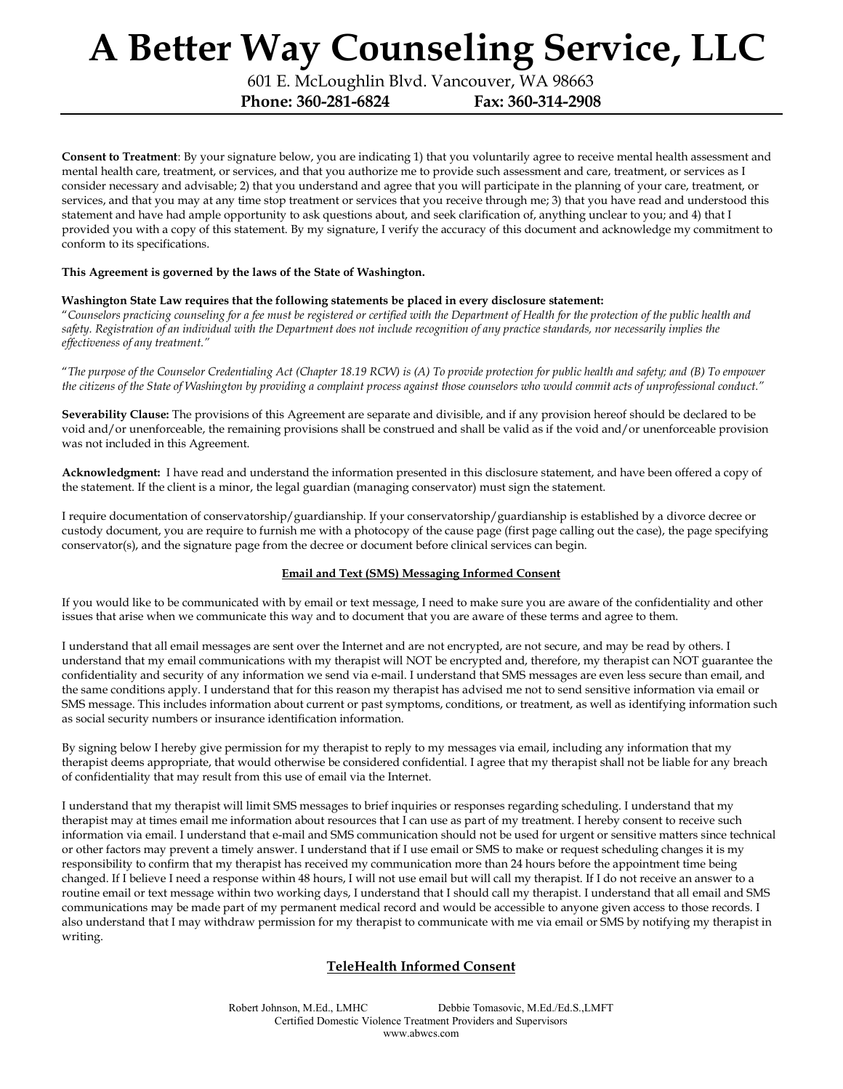601 E. McLoughlin Blvd. Vancouver, WA 98663

Phone: 360-281-6824 Fax: 360-314-2908

Consent to Treatment: By your signature below, you are indicating 1) that you voluntarily agree to receive mental health assessment and mental health care, treatment, or services, and that you authorize me to provide such assessment and care, treatment, or services as I consider necessary and advisable; 2) that you understand and agree that you will participate in the planning of your care, treatment, or services, and that you may at any time stop treatment or services that you receive through me; 3) that you have read and understood this statement and have had ample opportunity to ask questions about, and seek clarification of, anything unclear to you; and 4) that I provided you with a copy of this statement. By my signature, I verify the accuracy of this document and acknowledge my commitment to conform to its specifications.

#### This Agreement is governed by the laws of the State of Washington.

## Washington State Law requires that the following statements be placed in every disclosure statement:

"Counselors practicing counseling for a fee must be registered or certified with the Department of Health for the protection of the public health and safety. Registration of an individual with the Department does not include recognition of any practice standards, nor necessarily implies the effectiveness of any treatment."

"The purpose of the Counselor Credentialing Act (Chapter 18.19 RCW) is (A) To provide protection for public health and safety; and (B) To empower the citizens of the State of Washington by providing a complaint process against those counselors who would commit acts of unprofessional conduct."

Severability Clause: The provisions of this Agreement are separate and divisible, and if any provision hereof should be declared to be void and/or unenforceable, the remaining provisions shall be construed and shall be valid as if the void and/or unenforceable provision was not included in this Agreement.

Acknowledgment: I have read and understand the information presented in this disclosure statement, and have been offered a copy of the statement. If the client is a minor, the legal guardian (managing conservator) must sign the statement.

I require documentation of conservatorship/guardianship. If your conservatorship/guardianship is established by a divorce decree or custody document, you are require to furnish me with a photocopy of the cause page (first page calling out the case), the page specifying conservator(s), and the signature page from the decree or document before clinical services can begin.

# Email and Text (SMS) Messaging Informed Consent

If you would like to be communicated with by email or text message, I need to make sure you are aware of the confidentiality and other issues that arise when we communicate this way and to document that you are aware of these terms and agree to them.

I understand that all email messages are sent over the Internet and are not encrypted, are not secure, and may be read by others. I understand that my email communications with my therapist will NOT be encrypted and, therefore, my therapist can NOT guarantee the confidentiality and security of any information we send via e-mail. I understand that SMS messages are even less secure than email, and the same conditions apply. I understand that for this reason my therapist has advised me not to send sensitive information via email or SMS message. This includes information about current or past symptoms, conditions, or treatment, as well as identifying information such as social security numbers or insurance identification information.

By signing below I hereby give permission for my therapist to reply to my messages via email, including any information that my therapist deems appropriate, that would otherwise be considered confidential. I agree that my therapist shall not be liable for any breach of confidentiality that may result from this use of email via the Internet.

I understand that my therapist will limit SMS messages to brief inquiries or responses regarding scheduling. I understand that my therapist may at times email me information about resources that I can use as part of my treatment. I hereby consent to receive such information via email. I understand that e-mail and SMS communication should not be used for urgent or sensitive matters since technical or other factors may prevent a timely answer. I understand that if I use email or SMS to make or request scheduling changes it is my responsibility to confirm that my therapist has received my communication more than 24 hours before the appointment time being changed. If I believe I need a response within 48 hours, I will not use email but will call my therapist. If I do not receive an answer to a routine email or text message within two working days, I understand that I should call my therapist. I understand that all email and SMS communications may be made part of my permanent medical record and would be accessible to anyone given access to those records. I also understand that I may withdraw permission for my therapist to communicate with me via email or SMS by notifying my therapist in writing.

# TeleHealth Informed Consent

Robert Johnson, M.Ed., LMHC Debbie Tomasovic, M.Ed./Ed.S.,LMFT Certified Domestic Violence Treatment Providers and Supervisors www.abwcs.com